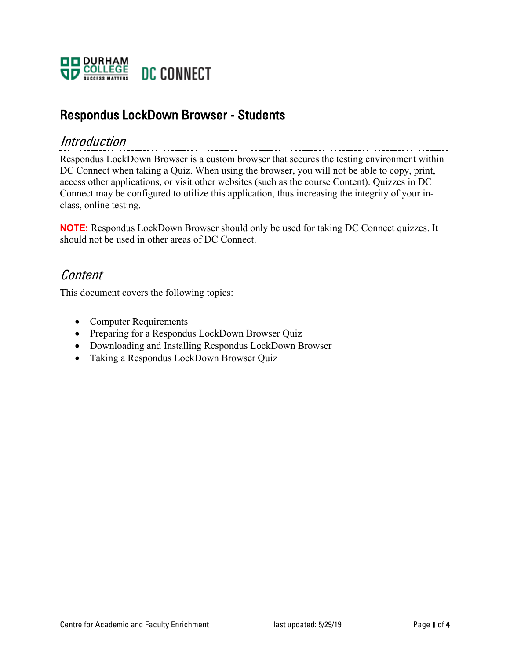

### Respondus LockDown Browser - Students

#### Introduction

Respondus LockDown Browser is a custom browser that secures the testing environment within DC Connect when taking a Quiz. When using the browser, you will not be able to copy, print, access other applications, or visit other websites (such as the course Content). Quizzes in DC Connect may be configured to utilize this application, thus increasing the integrity of your inclass, online testing.

**NOTE:** Respondus LockDown Browser should only be used for taking DC Connect quizzes. It should not be used in other areas of DC Connect.

#### **Content**

This document covers the following topics:

- Computer Requirements
- Preparing for a Respondus LockDown Browser Quiz
- Downloading and Installing Respondus LockDown Browser
- Taking a Respondus LockDown Browser Quiz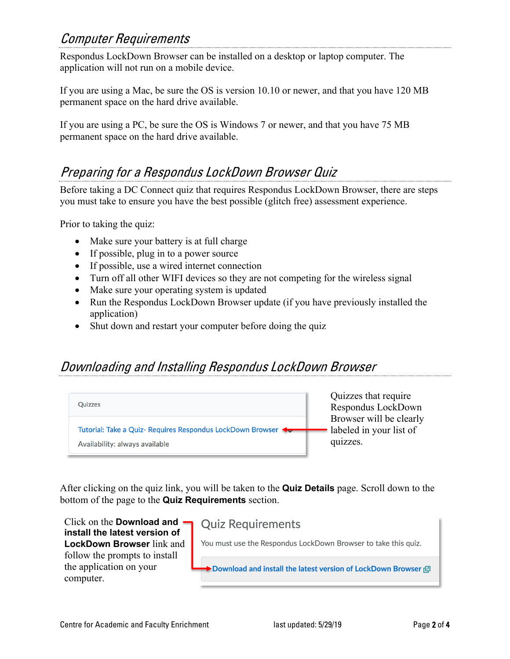### Computer Requirements

Respondus LockDown Browser can be installed on a desktop or laptop computer. The application will not run on a mobile device.

If you are using a Mac, be sure the OS is version 10.10 or newer, and that you have 120 MB permanent space on the hard drive available.

If you are using a PC, be sure the OS is Windows 7 or newer, and that you have 75 MB permanent space on the hard drive available.

# Preparing for a Respondus LockDown Browser Quiz

Before taking a DC Connect quiz that requires Respondus LockDown Browser, there are steps you must take to ensure you have the best possible (glitch free) assessment experience.

Prior to taking the quiz:

- Make sure your battery is at full charge
- If possible, plug in to a power source
- If possible, use a wired internet connection
- Turn off all other WIFI devices so they are not competing for the wireless signal
- Make sure your operating system is updated
- Run the Respondus LockDown Browser update (if you have previously installed the application)
- Shut down and restart your computer before doing the quiz

## Downloading and Installing Respondus LockDown Browser



After clicking on the quiz link, you will be taken to the **Quiz Details** page. Scroll down to the bottom of the page to the **Quiz Requirements** section.

Click on the **Download and Quiz Requirements install the latest version of LockDown Browser** link and You must use the Respondus LockDown Browser to take this quiz. follow the prompts to install the application on your ▶ Download and install the latest version of LockDown Browser । 2 computer.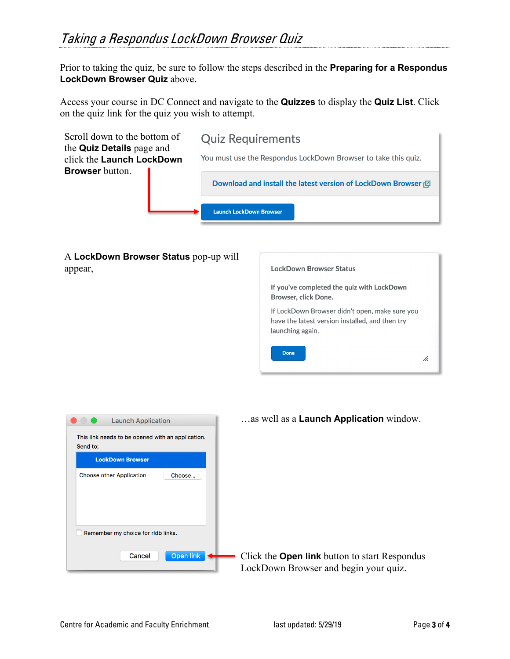Prior to taking the quiz, be sure to follow the steps described in the **Preparing for a Respondus LockDown Browser Quiz** above.

Access your course in DC Connect and navigate to the **Quizzes** to display the **Quiz List**. Click on the quiz link for the quiz you wish to attempt.



A **LockDown Browser Status** pop-up will appear,